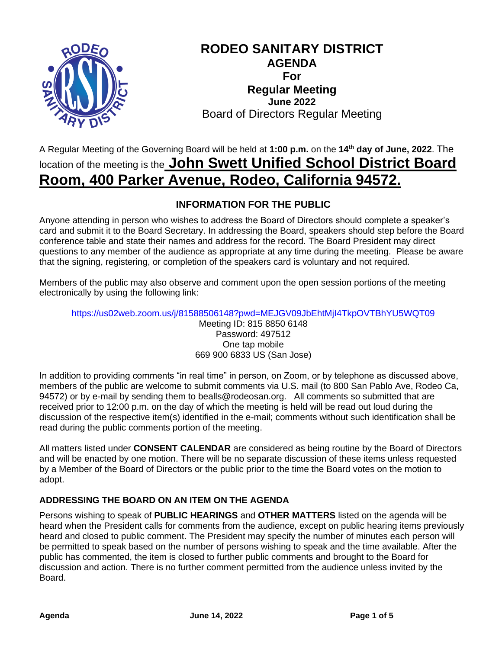

## **RODEO SANITARY DISTRICT AGENDA For Regular Meeting June 2022** Board of Directors Regular Meeting

# A Regular Meeting of the Governing Board will be held at **1:00 p.m.** on the **14 th day of June, 2022**. The location of the meeting is the **John Swett Unified School District Board Room, 400 Parker Avenue, Rodeo, California 94572.**

## **INFORMATION FOR THE PUBLIC**

Anyone attending in person who wishes to address the Board of Directors should complete a speaker's card and submit it to the Board Secretary. In addressing the Board, speakers should step before the Board conference table and state their names and address for the record. The Board President may direct questions to any member of the audience as appropriate at any time during the meeting. Please be aware that the signing, registering, or completion of the speakers card is voluntary and not required.

Members of the public may also observe and comment upon the open session portions of the meeting electronically by using the following link:

https://us02web.zoom.us/j/81588506148?pwd=MEJGV09JbEhtMjI4TkpOVTBhYU5WQT09 Meeting ID: 815 8850 6148 Password: 497512 One tap mobile 669 900 6833 US (San Jose)

In addition to providing comments "in real time" in person, on Zoom, or by telephone as discussed above, members of the public are welcome to submit comments via U.S. mail (to 800 San Pablo Ave, Rodeo Ca, 94572) or by e-mail by sending them to bealls@rodeosan.org. All comments so submitted that are received prior to 12:00 p.m. on the day of which the meeting is held will be read out loud during the discussion of the respective item(s) identified in the e-mail; comments without such identification shall be read during the public comments portion of the meeting.

All matters listed under **CONSENT CALENDAR** are considered as being routine by the Board of Directors and will be enacted by one motion. There will be no separate discussion of these items unless requested by a Member of the Board of Directors or the public prior to the time the Board votes on the motion to adopt.

## **ADDRESSING THE BOARD ON AN ITEM ON THE AGENDA**

Persons wishing to speak of **PUBLIC HEARINGS** and **OTHER MATTERS** listed on the agenda will be heard when the President calls for comments from the audience, except on public hearing items previously heard and closed to public comment. The President may specify the number of minutes each person will be permitted to speak based on the number of persons wishing to speak and the time available. After the public has commented, the item is closed to further public comments and brought to the Board for discussion and action. There is no further comment permitted from the audience unless invited by the Board.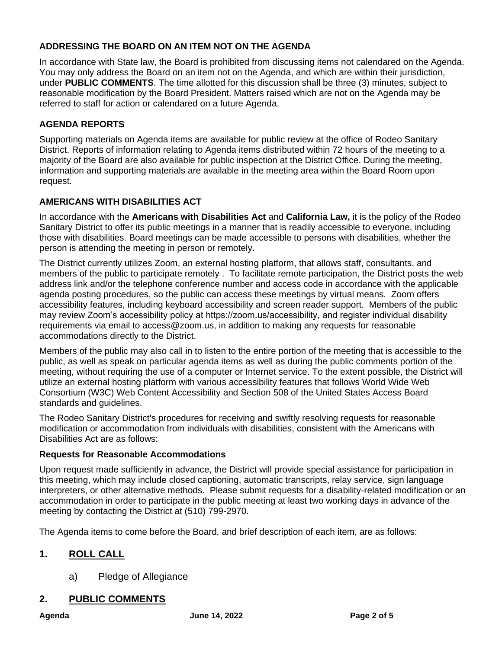## **ADDRESSING THE BOARD ON AN ITEM NOT ON THE AGENDA**

In accordance with State law, the Board is prohibited from discussing items not calendared on the Agenda. You may only address the Board on an item not on the Agenda, and which are within their jurisdiction, under **PUBLIC COMMENTS**. The time allotted for this discussion shall be three (3) minutes, subject to reasonable modification by the Board President. Matters raised which are not on the Agenda may be referred to staff for action or calendared on a future Agenda.

## **AGENDA REPORTS**

Supporting materials on Agenda items are available for public review at the office of Rodeo Sanitary District. Reports of information relating to Agenda items distributed within 72 hours of the meeting to a majority of the Board are also available for public inspection at the District Office. During the meeting, information and supporting materials are available in the meeting area within the Board Room upon request.

## **AMERICANS WITH DISABILITIES ACT**

In accordance with the **Americans with Disabilities Act** and **California Law,** it is the policy of the Rodeo Sanitary District to offer its public meetings in a manner that is readily accessible to everyone, including those with disabilities. Board meetings can be made accessible to persons with disabilities, whether the person is attending the meeting in person or remotely.

The District currently utilizes Zoom, an external hosting platform, that allows staff, consultants, and members of the public to participate remotely . To facilitate remote participation, the District posts the web address link and/or the telephone conference number and access code in accordance with the applicable agenda posting procedures, so the public can access these meetings by virtual means. Zoom offers accessibility features, including keyboard accessibility and screen reader support. Members of the public may review Zoom's accessibility policy at https://zoom.us/accessibility, and register individual disability requirements via email to access@zoom.us, in addition to making any requests for reasonable accommodations directly to the District.

Members of the public may also call in to listen to the entire portion of the meeting that is accessible to the public, as well as speak on particular agenda items as well as during the public comments portion of the meeting, without requiring the use of a computer or Internet service. To the extent possible, the District will utilize an external hosting platform with various accessibility features that follows World Wide Web Consortium (W3C) Web Content Accessibility and Section 508 of the United States Access Board standards and guidelines.

The Rodeo Sanitary District's procedures for receiving and swiftly resolving requests for reasonable modification or accommodation from individuals with disabilities, consistent with the Americans with Disabilities Act are as follows:

## **Requests for Reasonable Accommodations**

Upon request made sufficiently in advance, the District will provide special assistance for participation in this meeting, which may include closed captioning, automatic transcripts, relay service, sign language interpreters, or other alternative methods. Please submit requests for a disability-related modification or an accommodation in order to participate in the public meeting at least two working days in advance of the meeting by contacting the District at (510) 799-2970.

The Agenda items to come before the Board, and brief description of each item, are as follows:

## **1. ROLL CALL**

a) Pledge of Allegiance

## **2. PUBLIC COMMENTS**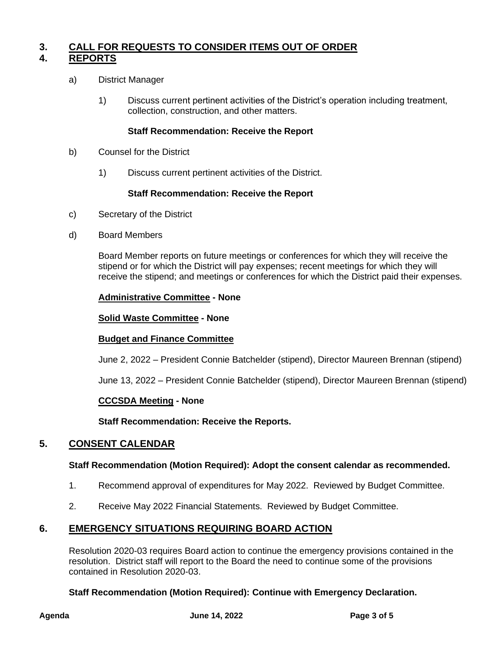## **3. CALL FOR REQUESTS TO CONSIDER ITEMS OUT OF ORDER 4. REPORTS**

- a) District Manager
	- 1) Discuss current pertinent activities of the District's operation including treatment, collection, construction, and other matters.

#### **Staff Recommendation: Receive the Report**

- b) Counsel for the District
	- 1) Discuss current pertinent activities of the District.

#### **Staff Recommendation: Receive the Report**

- c) Secretary of the District
- d) Board Members

Board Member reports on future meetings or conferences for which they will receive the stipend or for which the District will pay expenses; recent meetings for which they will receive the stipend; and meetings or conferences for which the District paid their expenses.

#### **Administrative Committee - None**

#### **Solid Waste Committee - None**

#### **Budget and Finance Committee**

June 2, 2022 – President Connie Batchelder (stipend), Director Maureen Brennan (stipend)

June 13, 2022 – President Connie Batchelder (stipend), Director Maureen Brennan (stipend)

#### **CCCSDA Meeting - None**

**Staff Recommendation: Receive the Reports.**

#### **5. CONSENT CALENDAR**

#### **Staff Recommendation (Motion Required): Adopt the consent calendar as recommended.**

- 1. Recommend approval of expenditures for May 2022. Reviewed by Budget Committee.
- 2. Receive May 2022 Financial Statements. Reviewed by Budget Committee.

## **6. EMERGENCY SITUATIONS REQUIRING BOARD ACTION**

Resolution 2020-03 requires Board action to continue the emergency provisions contained in the resolution. District staff will report to the Board the need to continue some of the provisions contained in Resolution 2020-03.

#### **Staff Recommendation (Motion Required): Continue with Emergency Declaration.**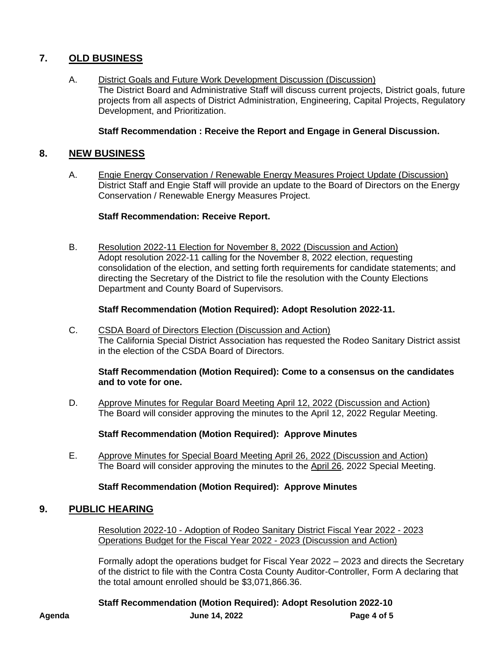## **7. OLD BUSINESS**

A. District Goals and Future Work Development Discussion (Discussion) The District Board and Administrative Staff will discuss current projects, District goals, future projects from all aspects of District Administration, Engineering, Capital Projects, Regulatory Development, and Prioritization.

#### **Staff Recommendation : Receive the Report and Engage in General Discussion.**

### **8. NEW BUSINESS**

A. Engie Energy Conservation / Renewable Energy Measures Project Update (Discussion) District Staff and Engie Staff will provide an update to the Board of Directors on the Energy Conservation / Renewable Energy Measures Project.

#### **Staff Recommendation: Receive Report.**

B. Resolution 2022-11 Election for November 8, 2022 (Discussion and Action) Adopt resolution 2022-11 calling for the November 8, 2022 election, requesting consolidation of the election, and setting forth requirements for candidate statements; and directing the Secretary of the District to file the resolution with the County Elections Department and County Board of Supervisors.

#### **Staff Recommendation (Motion Required): Adopt Resolution 2022-11.**

C. CSDA Board of Directors Election (Discussion and Action) The California Special District Association has requested the Rodeo Sanitary District assist in the election of the CSDA Board of Directors.

#### **Staff Recommendation (Motion Required): Come to a consensus on the candidates and to vote for one.**

D. Approve Minutes for Regular Board Meeting April 12, 2022 (Discussion and Action) The Board will consider approving the minutes to the April 12, 2022 Regular Meeting.

#### **Staff Recommendation (Motion Required): Approve Minutes**

E. Approve Minutes for Special Board Meeting April 26, 2022 (Discussion and Action) The Board will consider approving the minutes to the April 26, 2022 Special Meeting.

#### **Staff Recommendation (Motion Required): Approve Minutes**

## **9. PUBLIC HEARING**

Resolution 2022-10 - Adoption of Rodeo Sanitary District Fiscal Year 2022 - 2023 Operations Budget for the Fiscal Year 2022 - 2023 (Discussion and Action)

Formally adopt the operations budget for Fiscal Year 2022 – 2023 and directs the Secretary of the district to file with the Contra Costa County Auditor-Controller, Form A declaring that the total amount enrolled should be \$3,071,866.36.

**Agenda June 14, 2022 Page 4 of 5 Staff Recommendation (Motion Required): Adopt Resolution 2022-10**